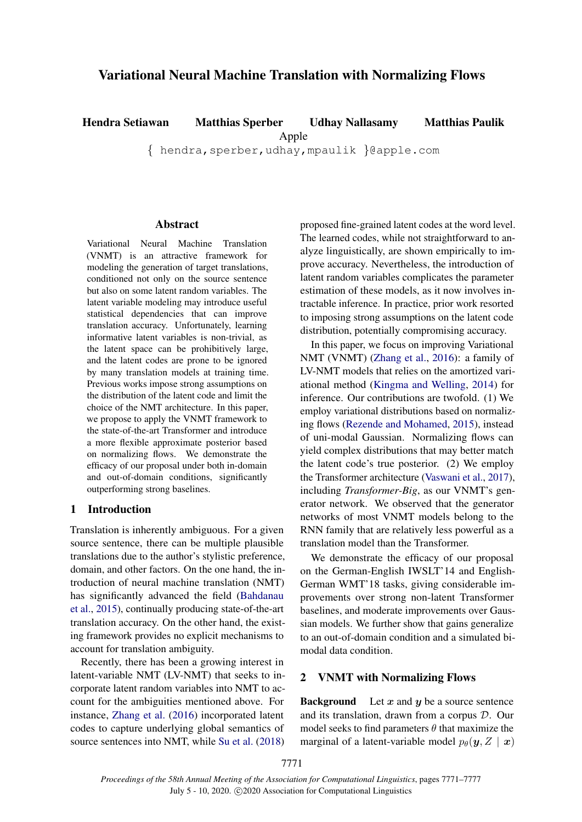# Variational Neural Machine Translation with Normalizing Flows

Hendra Setiawan Matthias Sperber Udhay Nallasamy Matthias Paulik

Apple

{ hendra,sperber,udhay,mpaulik }@apple.com

### **Abstract**

Variational Neural Machine Translation (VNMT) is an attractive framework for modeling the generation of target translations, conditioned not only on the source sentence but also on some latent random variables. The latent variable modeling may introduce useful statistical dependencies that can improve translation accuracy. Unfortunately, learning informative latent variables is non-trivial, as the latent space can be prohibitively large, and the latent codes are prone to be ignored by many translation models at training time. Previous works impose strong assumptions on the distribution of the latent code and limit the choice of the NMT architecture. In this paper, we propose to apply the VNMT framework to the state-of-the-art Transformer and introduce a more flexible approximate posterior based on normalizing flows. We demonstrate the efficacy of our proposal under both in-domain and out-of-domain conditions, significantly outperforming strong baselines.

### 1 Introduction

Translation is inherently ambiguous. For a given source sentence, there can be multiple plausible translations due to the author's stylistic preference, domain, and other factors. On the one hand, the introduction of neural machine translation (NMT) has significantly advanced the field [\(Bahdanau](#page-5-0) [et al.,](#page-5-0) [2015\)](#page-5-0), continually producing state-of-the-art translation accuracy. On the other hand, the existing framework provides no explicit mechanisms to account for translation ambiguity.

Recently, there has been a growing interest in latent-variable NMT (LV-NMT) that seeks to incorporate latent random variables into NMT to account for the ambiguities mentioned above. For instance, [Zhang et al.](#page-6-0) [\(2016\)](#page-6-0) incorporated latent codes to capture underlying global semantics of source sentences into NMT, while [Su et al.](#page-5-1) [\(2018\)](#page-5-1)

proposed fine-grained latent codes at the word level. The learned codes, while not straightforward to analyze linguistically, are shown empirically to improve accuracy. Nevertheless, the introduction of latent random variables complicates the parameter estimation of these models, as it now involves intractable inference. In practice, prior work resorted to imposing strong assumptions on the latent code distribution, potentially compromising accuracy.

In this paper, we focus on improving Variational NMT (VNMT) [\(Zhang et al.,](#page-6-0) [2016\)](#page-6-0): a family of LV-NMT models that relies on the amortized variational method [\(Kingma and Welling,](#page-5-2) [2014\)](#page-5-2) for inference. Our contributions are twofold. (1) We employ variational distributions based on normalizing flows [\(Rezende and Mohamed,](#page-5-3) [2015\)](#page-5-3), instead of uni-modal Gaussian. Normalizing flows can yield complex distributions that may better match the latent code's true posterior. (2) We employ the Transformer architecture [\(Vaswani et al.,](#page-6-1) [2017\)](#page-6-1), including *Transformer-Big*, as our VNMT's generator network. We observed that the generator networks of most VNMT models belong to the RNN family that are relatively less powerful as a translation model than the Transformer.

We demonstrate the efficacy of our proposal on the German-English IWSLT'14 and English-German WMT'18 tasks, giving considerable improvements over strong non-latent Transformer baselines, and moderate improvements over Gaussian models. We further show that gains generalize to an out-of-domain condition and a simulated bimodal data condition.

# 2 VNMT with Normalizing Flows

**Background** Let  $x$  and  $y$  be a source sentence and its translation, drawn from a corpus D. Our model seeks to find parameters  $\theta$  that maximize the marginal of a latent-variable model  $p_{\theta}(\mathbf{y}, Z | \mathbf{x})$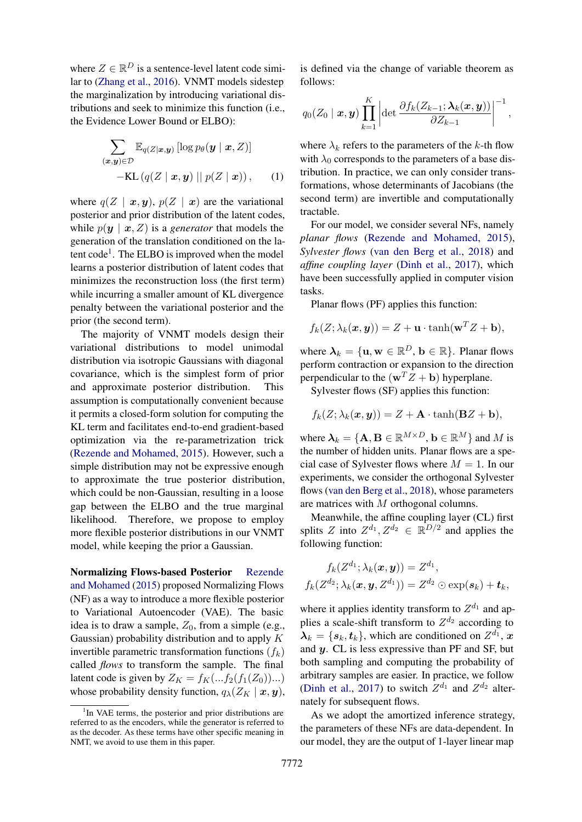where  $Z \in \mathbb{R}^D$  is a sentence-level latent code similar to [\(Zhang et al.,](#page-6-0) [2016\)](#page-6-0). VNMT models sidestep the marginalization by introducing variational distributions and seek to minimize this function (i.e., the Evidence Lower Bound or ELBO):

$$
\sum_{(\boldsymbol{x},\boldsymbol{y})\in\mathcal{D}} \mathbb{E}_{q(Z|\boldsymbol{x},\boldsymbol{y})} [\log p_{\theta}(\boldsymbol{y} \mid \boldsymbol{x}, Z)]
$$
  
-KL $(q(Z | \boldsymbol{x}, \boldsymbol{y}) || p(Z | \boldsymbol{x}))$ , (1)

where  $q(Z | x, y)$ ,  $p(Z | x)$  are the variational posterior and prior distribution of the latent codes, while  $p(y \mid x, Z)$  is a *generator* that models the generation of the translation conditioned on the la-tent code<sup>[1](#page-1-0)</sup>. The ELBO is improved when the model learns a posterior distribution of latent codes that minimizes the reconstruction loss (the first term) while incurring a smaller amount of KL divergence penalty between the variational posterior and the prior (the second term).

The majority of VNMT models design their variational distributions to model unimodal distribution via isotropic Gaussians with diagonal covariance, which is the simplest form of prior and approximate posterior distribution. This assumption is computationally convenient because it permits a closed-form solution for computing the KL term and facilitates end-to-end gradient-based optimization via the re-parametrization trick [\(Rezende and Mohamed,](#page-5-3) [2015\)](#page-5-3). However, such a simple distribution may not be expressive enough to approximate the true posterior distribution, which could be non-Gaussian, resulting in a loose gap between the ELBO and the true marginal likelihood. Therefore, we propose to employ more flexible posterior distributions in our VNMT model, while keeping the prior a Gaussian.

Normalizing Flows-based Posterior [Rezende](#page-5-3) [and Mohamed](#page-5-3) [\(2015\)](#page-5-3) proposed Normalizing Flows (NF) as a way to introduce a more flexible posterior to Variational Autoencoder (VAE). The basic idea is to draw a sample,  $Z_0$ , from a simple (e.g., Gaussian) probability distribution and to apply  $K$ invertible parametric transformation functions  $(f_k)$ called *flows* to transform the sample. The final latent code is given by  $Z_K = f_K(...f_2(f_1(Z_0))...)$ whose probability density function,  $q_{\lambda}(Z_K | \mathbf{x}, \mathbf{y})$ ,

is defined via the change of variable theorem as follows:

$$
q_0(Z_0 \mid \boldsymbol{x}, \boldsymbol{y}) \prod_{k=1}^K \left| \det \frac{\partial f_k(Z_{k-1}; \boldsymbol{\lambda}_k(\boldsymbol{x}, \boldsymbol{y}))}{\partial Z_{k-1}} \right|^{-1},
$$

<span id="page-1-1"></span>where  $\lambda_k$  refers to the parameters of the k-th flow with  $\lambda_0$  corresponds to the parameters of a base distribution. In practice, we can only consider transformations, whose determinants of Jacobians (the second term) are invertible and computationally tractable.

For our model, we consider several NFs, namely *planar flows* [\(Rezende and Mohamed,](#page-5-3) [2015\)](#page-5-3), *Sylvester flows* [\(van den Berg et al.,](#page-5-4) [2018\)](#page-5-4) and *affine coupling layer* [\(Dinh et al.,](#page-5-5) [2017\)](#page-5-5), which have been successfully applied in computer vision tasks.

Planar flows (PF) applies this function:

$$
f_k(Z; \lambda_k(\boldsymbol{x}, \boldsymbol{y})) = Z + \mathbf{u} \cdot \tanh(\mathbf{w}^T Z + \mathbf{b}),
$$

where  $\lambda_k = {\{\mathbf{u}, \mathbf{w} \in \mathbb{R}^D, \mathbf{b} \in \mathbb{R}\}}$ . Planar flows perform contraction or expansion to the direction perpendicular to the  $(\mathbf{w}^T \mathbf{Z} + \mathbf{b})$  hyperplane.

Sylvester flows (SF) applies this function:

 $f_k(Z; \lambda_k(x, y)) = Z + \mathbf{A} \cdot \tanh(\mathbf{B}Z + \mathbf{b}),$ 

where  $\lambda_k = {\mathbf{A}, \mathbf{B} \in \mathbb{R}^{M \times D}, \mathbf{b} \in \mathbb{R}^M}$  and M is the number of hidden units. Planar flows are a special case of Sylvester flows where  $M = 1$ . In our experiments, we consider the orthogonal Sylvester flows [\(van den Berg et al.,](#page-5-4) [2018\)](#page-5-4), whose parameters are matrices with M orthogonal columns.

Meanwhile, the affine coupling layer (CL) first splits Z into  $Z^{d_1}, Z^{d_2} \in \mathbb{R}^{D/2}$  and applies the following function:

$$
f_k(Z^{d_1}; \lambda_k(\boldsymbol{x}, \boldsymbol{y})) = Z^{d_1},
$$
  

$$
f_k(Z^{d_2}; \lambda_k(\boldsymbol{x}, \boldsymbol{y}, Z^{d_1})) = Z^{d_2} \odot \exp(\boldsymbol{s}_k) + \boldsymbol{t}_k,
$$

where it applies identity transform to  $Z^{d_1}$  and applies a scale-shift transform to  $Z^{d_2}$  according to  $\lambda_k = \{s_k, t_k\}$ , which are conditioned on  $Z^{d_1}$ , x and  $y$ . CL is less expressive than PF and SF, but both sampling and computing the probability of arbitrary samples are easier. In practice, we follow [\(Dinh et al.,](#page-5-5) [2017\)](#page-5-5) to switch  $Z^{d_1}$  and  $Z^{d_2}$  alternately for subsequent flows.

As we adopt the amortized inference strategy, the parameters of these NFs are data-dependent. In our model, they are the output of 1-layer linear map

<span id="page-1-0"></span><sup>&</sup>lt;sup>1</sup>In VAE terms, the posterior and prior distributions are referred to as the encoders, while the generator is referred to as the decoder. As these terms have other specific meaning in NMT, we avoid to use them in this paper.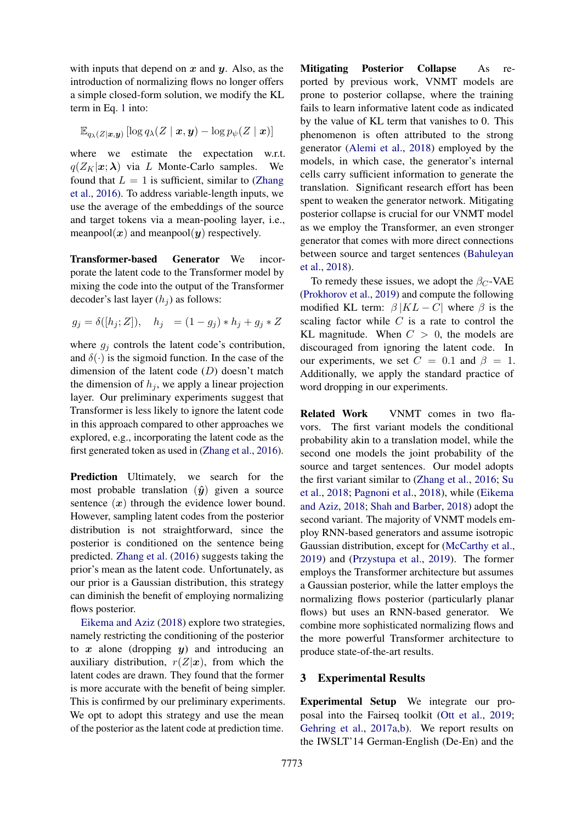with inputs that depend on  $x$  and  $y$ . Also, as the introduction of normalizing flows no longer offers a simple closed-form solution, we modify the KL term in Eq. [1](#page-1-1) into:

$$
\mathbb{E}_{q_{\boldsymbol{\lambda}}(Z| \boldsymbol{x}, \boldsymbol{y})} \left[ \log q_{\boldsymbol{\lambda}}(Z \mid \boldsymbol{x}, \boldsymbol{y}) - \log p_{\psi}(Z \mid \boldsymbol{x}) \right]
$$

where we estimate the expectation w.r.t.  $q(Z_K|\mathbf{x};\boldsymbol{\lambda})$  via L Monte-Carlo samples. We found that  $L = 1$  is sufficient, similar to [\(Zhang](#page-6-0) [et al.,](#page-6-0) [2016\)](#page-6-0). To address variable-length inputs, we use the average of the embeddings of the source and target tokens via a mean-pooling layer, i.e., meanpool( $x$ ) and meanpool( $y$ ) respectively.

Transformer-based Generator We incorporate the latent code to the Transformer model by mixing the code into the output of the Transformer decoder's last layer  $(h_i)$  as follows:

$$
g_j = \delta([h_j; Z]),
$$
  $h_j = (1 - g_j) * h_j + g_j * Z$ 

where  $g_j$  controls the latent code's contribution, and  $\delta(\cdot)$  is the sigmoid function. In the case of the dimension of the latent code (D) doesn't match the dimension of  $h_i$ , we apply a linear projection layer. Our preliminary experiments suggest that Transformer is less likely to ignore the latent code in this approach compared to other approaches we explored, e.g., incorporating the latent code as the first generated token as used in [\(Zhang et al.,](#page-6-0) [2016\)](#page-6-0).

Prediction Ultimately, we search for the most probable translation  $(\hat{y})$  given a source sentence  $(x)$  through the evidence lower bound. However, sampling latent codes from the posterior distribution is not straightforward, since the posterior is conditioned on the sentence being predicted. [Zhang et al.](#page-6-0) [\(2016\)](#page-6-0) suggests taking the prior's mean as the latent code. Unfortunately, as our prior is a Gaussian distribution, this strategy can diminish the benefit of employing normalizing flows posterior.

[Eikema and Aziz](#page-5-6) [\(2018\)](#page-5-6) explore two strategies, namely restricting the conditioning of the posterior to  $x$  alone (dropping  $y$ ) and introducing an auxiliary distribution,  $r(Z|x)$ , from which the latent codes are drawn. They found that the former is more accurate with the benefit of being simpler. This is confirmed by our preliminary experiments. We opt to adopt this strategy and use the mean of the posterior as the latent code at prediction time.

Mitigating Posterior Collapse As reported by previous work, VNMT models are prone to posterior collapse, where the training fails to learn informative latent code as indicated by the value of KL term that vanishes to 0. This phenomenon is often attributed to the strong generator [\(Alemi et al.,](#page-5-7) [2018\)](#page-5-7) employed by the models, in which case, the generator's internal cells carry sufficient information to generate the translation. Significant research effort has been spent to weaken the generator network. Mitigating posterior collapse is crucial for our VNMT model as we employ the Transformer, an even stronger generator that comes with more direct connections between source and target sentences [\(Bahuleyan](#page-5-8) [et al.,](#page-5-8) [2018\)](#page-5-8).

To remedy these issues, we adopt the  $\beta_C$ -VAE [\(Prokhorov et al.,](#page-5-9) [2019\)](#page-5-9) and compute the following modified KL term:  $\beta$  |KL – C| where  $\beta$  is the scaling factor while  $C$  is a rate to control the KL magnitude. When  $C > 0$ , the models are discouraged from ignoring the latent code. In our experiments, we set  $C = 0.1$  and  $\beta = 1$ . Additionally, we apply the standard practice of word dropping in our experiments.

Related Work VNMT comes in two flavors. The first variant models the conditional probability akin to a translation model, while the second one models the joint probability of the source and target sentences. Our model adopts the first variant similar to [\(Zhang et al.,](#page-6-0) [2016;](#page-6-0) [Su](#page-5-1) [et al.,](#page-5-1) [2018;](#page-5-1) [Pagnoni et al.,](#page-5-10) [2018\)](#page-5-10), while [\(Eikema](#page-5-6) [and Aziz,](#page-5-6) [2018;](#page-5-6) [Shah and Barber,](#page-5-11) [2018\)](#page-5-11) adopt the second variant. The majority of VNMT models employ RNN-based generators and assume isotropic Gaussian distribution, except for [\(McCarthy et al.,](#page-5-12) [2019\)](#page-5-12) and [\(Przystupa et al.,](#page-5-13) [2019\)](#page-5-13). The former employs the Transformer architecture but assumes a Gaussian posterior, while the latter employs the normalizing flows posterior (particularly planar flows) but uses an RNN-based generator. We combine more sophisticated normalizing flows and the more powerful Transformer architecture to produce state-of-the-art results.

### 3 Experimental Results

Experimental Setup We integrate our proposal into the Fairseq toolkit [\(Ott et al.,](#page-5-14) [2019;](#page-5-14) [Gehring et al.,](#page-5-15) [2017a](#page-5-15)[,b\)](#page-5-16). We report results on the IWSLT'14 German-English (De-En) and the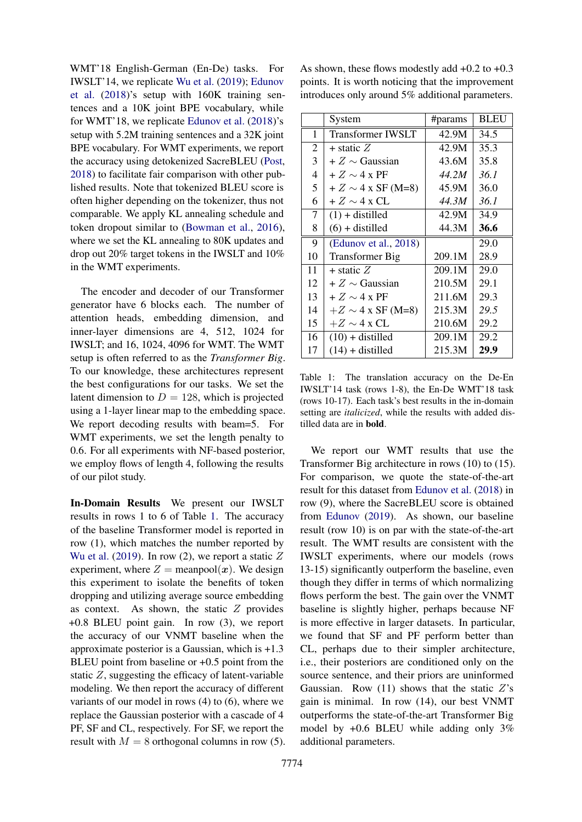WMT'18 English-German (En-De) tasks. For IWSLT'14, we replicate [Wu et al.](#page-6-2) [\(2019\)](#page-6-2); [Edunov](#page-5-17) [et al.](#page-5-17) [\(2018\)](#page-5-17)'s setup with 160K training sentences and a 10K joint BPE vocabulary, while for WMT'18, we replicate [Edunov et al.](#page-5-17) [\(2018\)](#page-5-17)'s setup with 5.2M training sentences and a 32K joint BPE vocabulary. For WMT experiments, we report the accuracy using detokenized SacreBLEU [\(Post,](#page-5-18) [2018\)](#page-5-18) to facilitate fair comparison with other published results. Note that tokenized BLEU score is often higher depending on the tokenizer, thus not comparable. We apply KL annealing schedule and token dropout similar to [\(Bowman et al.,](#page-5-19) [2016\)](#page-5-19), where we set the KL annealing to 80K updates and drop out 20% target tokens in the IWSLT and 10% in the WMT experiments.

The encoder and decoder of our Transformer generator have 6 blocks each. The number of attention heads, embedding dimension, and inner-layer dimensions are 4, 512, 1024 for IWSLT; and 16, 1024, 4096 for WMT. The WMT setup is often referred to as the *Transformer Big*. To our knowledge, these architectures represent the best configurations for our tasks. We set the latent dimension to  $D = 128$ , which is projected using a 1-layer linear map to the embedding space. We report decoding results with beam=5. For WMT experiments, we set the length penalty to 0.6. For all experiments with NF-based posterior, we employ flows of length 4, following the results of our pilot study.

In-Domain Results We present our IWSLT results in rows 1 to 6 of Table [1.](#page-3-0) The accuracy of the baseline Transformer model is reported in row (1), which matches the number reported by [Wu et al.](#page-6-2) [\(2019\)](#page-6-2). In row (2), we report a static  $Z$ experiment, where  $Z = \text{meanpool}(x)$ . We design this experiment to isolate the benefits of token dropping and utilizing average source embedding as context. As shown, the static  $Z$  provides +0.8 BLEU point gain. In row (3), we report the accuracy of our VNMT baseline when the approximate posterior is a Gaussian, which is +1.3 BLEU point from baseline or  $+0.5$  point from the static  $Z$ , suggesting the efficacy of latent-variable modeling. We then report the accuracy of different variants of our model in rows (4) to (6), where we replace the Gaussian posterior with a cascade of 4 PF, SF and CL, respectively. For SF, we report the result with  $M = 8$  orthogonal columns in row (5).

As shown, these flows modestly add +0.2 to +0.3 points. It is worth noticing that the improvement introduces only around 5% additional parameters.

<span id="page-3-0"></span>

|                | System                   | #params | <b>BLEU</b> |
|----------------|--------------------------|---------|-------------|
| 1              | <b>Transformer IWSLT</b> | 42.9M   | 34.5        |
| $\overline{2}$ | $+$ static $Z$           | 42.9M   | 35.3        |
| 3              | $+Z \sim$ Gaussian       | 43.6M   | 35.8        |
| 4              | $+Z \sim 4 \times PF$    | 44.2M   | 36.1        |
| 5              | $+Z \sim 4$ x SF (M=8)   | 45.9M   | 36.0        |
| 6              | $+Z \sim 4 \times CL$    | 44.3M   | 36.1        |
| 7              | $(1) +$ distilled        | 42.9M   | 34.9        |
| 8              | $(6) + distilled$        | 44.3M   | 36.6        |
| 9              | (Edunov et al., 2018)    |         | 29.0        |
| 10             | <b>Transformer Big</b>   | 209.1M  | 28.9        |
| 11             | $+$ static $Z$           | 209.1M  | 29.0        |
| 12             | $+Z \sim$ Gaussian       | 210.5M  | 29.1        |
| 13             | $+Z \sim 4 \times PF$    | 211.6M  | 29.3        |
| 14             | $+Z \sim 4$ x SF (M=8)   | 215.3M  | 29.5        |
| 15             | $+Z \sim 4$ x CL         | 210.6M  | 29.2        |
| 16             | $(10) +$ distilled       | 209.1M  | 29.2        |
| 17             | $(14) +$ distilled       | 215.3M  | 29.9        |

Table 1: The translation accuracy on the De-En IWSLT'14 task (rows 1-8), the En-De WMT'18 task (rows 10-17). Each task's best results in the in-domain setting are *italicized*, while the results with added distilled data are in bold.

We report our WMT results that use the Transformer Big architecture in rows (10) to (15). For comparison, we quote the state-of-the-art result for this dataset from [Edunov et al.](#page-5-17) [\(2018\)](#page-5-17) in row (9), where the SacreBLEU score is obtained from [Edunov](#page-5-20) [\(2019\)](#page-5-20). As shown, our baseline result (row 10) is on par with the state-of-the-art result. The WMT results are consistent with the IWSLT experiments, where our models (rows 13-15) significantly outperform the baseline, even though they differ in terms of which normalizing flows perform the best. The gain over the VNMT baseline is slightly higher, perhaps because NF is more effective in larger datasets. In particular, we found that SF and PF perform better than CL, perhaps due to their simpler architecture, i.e., their posteriors are conditioned only on the source sentence, and their priors are uninformed Gaussian. Row  $(11)$  shows that the static  $Z$ 's gain is minimal. In row (14), our best VNMT outperforms the state-of-the-art Transformer Big model by +0.6 BLEU while adding only 3% additional parameters.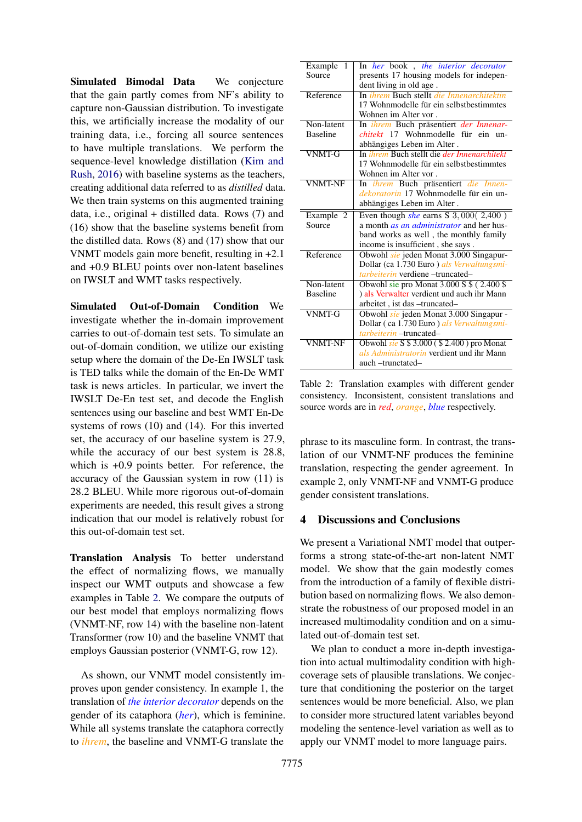Simulated Bimodal Data We conjecture that the gain partly comes from NF's ability to capture non-Gaussian distribution. To investigate this, we artificially increase the modality of our training data, i.e., forcing all source sentences to have multiple translations. We perform the sequence-level knowledge distillation [\(Kim and](#page-5-21) [Rush,](#page-5-21) [2016\)](#page-5-21) with baseline systems as the teachers, creating additional data referred to as *distilled* data. We then train systems on this augmented training data, i.e., original + distilled data. Rows (7) and (16) show that the baseline systems benefit from the distilled data. Rows (8) and (17) show that our VNMT models gain more benefit, resulting in +2.1 and +0.9 BLEU points over non-latent baselines on IWSLT and WMT tasks respectively.

Simulated Out-of-Domain Condition We investigate whether the in-domain improvement carries to out-of-domain test sets. To simulate an out-of-domain condition, we utilize our existing setup where the domain of the De-En IWSLT task is TED talks while the domain of the En-De WMT task is news articles. In particular, we invert the IWSLT De-En test set, and decode the English sentences using our baseline and best WMT En-De systems of rows (10) and (14). For this inverted set, the accuracy of our baseline system is 27.9, while the accuracy of our best system is 28.8, which is +0.9 points better. For reference, the accuracy of the Gaussian system in row (11) is 28.2 BLEU. While more rigorous out-of-domain experiments are needed, this result gives a strong indication that our model is relatively robust for this out-of-domain test set.

Translation Analysis To better understand the effect of normalizing flows, we manually inspect our WMT outputs and showcase a few examples in Table [2.](#page-4-0) We compare the outputs of our best model that employs normalizing flows (VNMT-NF, row 14) with the baseline non-latent Transformer (row 10) and the baseline VNMT that employs Gaussian posterior (VNMT-G, row 12).

As shown, our VNMT model consistently improves upon gender consistency. In example 1, the translation of *the interior decorator* depends on the gender of its cataphora (*her*), which is feminine. While all systems translate the cataphora correctly to *ihrem*, the baseline and VNMT-G translate the

<span id="page-4-0"></span>

| Example<br>1    | In her book, the interior decorator                       |  |  |  |  |
|-----------------|-----------------------------------------------------------|--|--|--|--|
| Source          | presents 17 housing models for indepen-                   |  |  |  |  |
|                 | dent living in old age.                                   |  |  |  |  |
| Reference       | In <i>ihrem</i> Buch stellt <i>die Innenarchitektin</i>   |  |  |  |  |
|                 | 17 Wohnmodelle für ein selbstbestimmtes                   |  |  |  |  |
|                 | Wohnen im Alter vor.                                      |  |  |  |  |
| Non-latent      | In ihrem Buch präsentiert der Innenar-                    |  |  |  |  |
| <b>Baseline</b> | <i>chitekt</i> 17 Wohnmodelle für ein<br>$11n -$          |  |  |  |  |
|                 | abhängiges Leben im Alter.                                |  |  |  |  |
| <b>VNMT-G</b>   | In <i>ihrem</i> Buch stellt die <i>der Innenarchitekt</i> |  |  |  |  |
|                 | 17 Wohnmodelle für ein selbstbestimmtes                   |  |  |  |  |
|                 | Wohnen im Alter vor.                                      |  |  |  |  |
| <b>VNMT-NF</b>  | In ihrem Buch präsentiert die Innen-                      |  |  |  |  |
|                 | dekoratorin 17 Wohnmodelle für ein un-                    |  |  |  |  |
|                 | abhängiges Leben im Alter.                                |  |  |  |  |
| Example 2       | Even though she earns S $3,000(2,400)$                    |  |  |  |  |
| Source          | a month <i>as an administrator</i> and her hus-           |  |  |  |  |
|                 |                                                           |  |  |  |  |
|                 | band works as well, the monthly family                    |  |  |  |  |
|                 | income is insufficient, she says.                         |  |  |  |  |
| Reference       | Obwohl sie jeden Monat 3.000 Singapur-                    |  |  |  |  |
|                 | Dollar (ca 1.730 Euro) als Verwaltungsmi-                 |  |  |  |  |
|                 | <i>tarbeiterin</i> verdiene – truncated–                  |  |  |  |  |
| Non-latent      | Obwohl sie pro Monat 3.000 S \$ (2.400 \$)                |  |  |  |  |
| <b>Baseline</b> | ) als Verwalter verdient und auch ihr Mann                |  |  |  |  |
|                 | arbeitet, ist das -truncated-                             |  |  |  |  |
| <b>VNMT-G</b>   | Obwohl sie jeden Monat 3.000 Singapur -                   |  |  |  |  |
|                 | Dollar (ca 1.730 Euro) als Verwaltungsmi-                 |  |  |  |  |
|                 | <i>tarbeiterin</i> – truncated–                           |  |  |  |  |
| <b>VNMT-NF</b>  | Obwohl sie S \$ 3.000 (\$2.400) pro Monat                 |  |  |  |  |
|                 | als Administratorin verdient und ihr Mann                 |  |  |  |  |

Table 2: Translation examples with different gender consistency. Inconsistent, consistent translations and source words are in *red*, *orange*, *blue* respectively.

phrase to its masculine form. In contrast, the translation of our VNMT-NF produces the feminine translation, respecting the gender agreement. In example 2, only VNMT-NF and VNMT-G produce gender consistent translations.

### 4 Discussions and Conclusions

We present a Variational NMT model that outperforms a strong state-of-the-art non-latent NMT model. We show that the gain modestly comes from the introduction of a family of flexible distribution based on normalizing flows. We also demonstrate the robustness of our proposed model in an increased multimodality condition and on a simulated out-of-domain test set.

We plan to conduct a more in-depth investigation into actual multimodality condition with highcoverage sets of plausible translations. We conjecture that conditioning the posterior on the target sentences would be more beneficial. Also, we plan to consider more structured latent variables beyond modeling the sentence-level variation as well as to apply our VNMT model to more language pairs.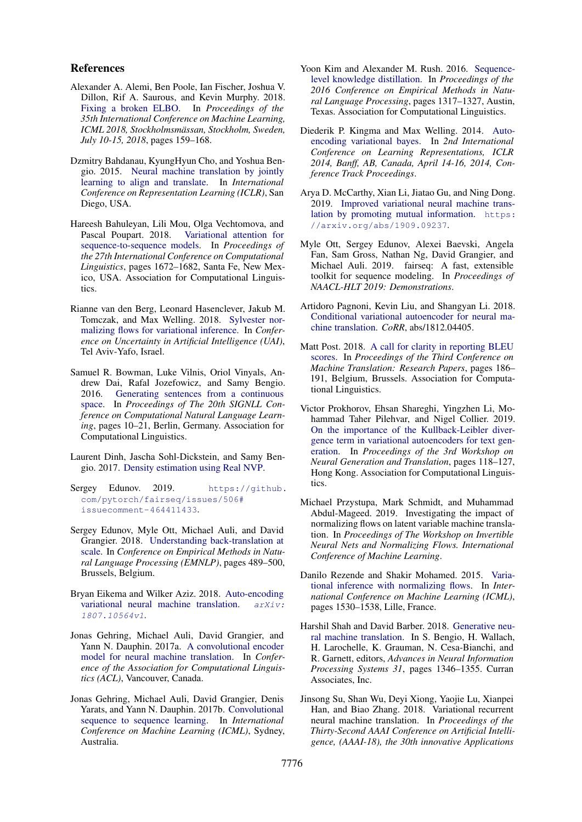#### References

- <span id="page-5-7"></span>Alexander A. Alemi, Ben Poole, Ian Fischer, Joshua V. Dillon, Rif A. Saurous, and Kevin Murphy. 2018. [Fixing a broken ELBO.](http://proceedings.mlr.press/v80/alemi18a.html) In *Proceedings of the 35th International Conference on Machine Learning, ICML 2018, Stockholmsmassan, Stockholm, Sweden, ¨ July 10-15, 2018*, pages 159–168.
- <span id="page-5-0"></span>Dzmitry Bahdanau, KyungHyun Cho, and Yoshua Bengio. 2015. [Neural machine translation by jointly](http://arxiv.org/abs/1409.0473) [learning to align and translate.](http://arxiv.org/abs/1409.0473) In *International Conference on Representation Learning (ICLR)*, San Diego, USA.
- <span id="page-5-8"></span>Hareesh Bahuleyan, Lili Mou, Olga Vechtomova, and Pascal Poupart. 2018. [Variational attention for](https://www.aclweb.org/anthology/C18-1142) [sequence-to-sequence models.](https://www.aclweb.org/anthology/C18-1142) In *Proceedings of the 27th International Conference on Computational Linguistics*, pages 1672–1682, Santa Fe, New Mexico, USA. Association for Computational Linguistics.
- <span id="page-5-4"></span>Rianne van den Berg, Leonard Hasenclever, Jakub M. Tomczak, and Max Welling. 2018. [Sylvester nor](http://auai.org/uai2018/proceedings/papers/156.pdf)[malizing flows for variational inference.](http://auai.org/uai2018/proceedings/papers/156.pdf) In *Conference on Uncertainty in Artificial Intelligence (UAI)*, Tel Aviv-Yafo, Israel.
- <span id="page-5-19"></span>Samuel R. Bowman, Luke Vilnis, Oriol Vinyals, Andrew Dai, Rafal Jozefowicz, and Samy Bengio. 2016. [Generating sentences from a continuous](https://doi.org/10.18653/v1/K16-1002) [space.](https://doi.org/10.18653/v1/K16-1002) In *Proceedings of The 20th SIGNLL Conference on Computational Natural Language Learning*, pages 10–21, Berlin, Germany. Association for Computational Linguistics.
- <span id="page-5-5"></span>Laurent Dinh, Jascha Sohl-Dickstein, and Samy Bengio. 2017. [Density estimation using Real NVP.](https://arxiv.org/abs/1605.08803)
- <span id="page-5-20"></span>Sergey Edunov. 2019. [https://github.](https://github.com/pytorch/fairseq/issues/506#issuecomment-464411433) [com/pytorch/fairseq/issues/506#](https://github.com/pytorch/fairseq/issues/506#issuecomment-464411433) [issuecomment-464411433](https://github.com/pytorch/fairseq/issues/506#issuecomment-464411433).
- <span id="page-5-17"></span>Sergey Edunov, Myle Ott, Michael Auli, and David Grangier. 2018. [Understanding back-translation at](https://aclweb.org/anthology/D18-1045) [scale.](https://aclweb.org/anthology/D18-1045) In *Conference on Empirical Methods in Natural Language Processing (EMNLP)*, pages 489–500, Brussels, Belgium.
- <span id="page-5-6"></span>Bryan Eikema and Wilker Aziz. 2018. [Auto-encoding](https://arxiv.org/pdf/1807.10564.pdf) [variational neural machine translation.](https://arxiv.org/pdf/1807.10564.pdf) [arXiv:](arXiv:1807.10564v1) [1807.10564v1](arXiv:1807.10564v1).
- <span id="page-5-15"></span>Jonas Gehring, Michael Auli, David Grangier, and Yann N. Dauphin. 2017a. [A convolutional encoder](https://www.aclweb.org/anthology/P17-1012) [model for neural machine translation.](https://www.aclweb.org/anthology/P17-1012) In *Conference of the Association for Computational Linguistics (ACL)*, Vancouver, Canada.
- <span id="page-5-16"></span>Jonas Gehring, Michael Auli, David Grangier, Denis Yarats, and Yann N. Dauphin. 2017b. [Convolutional](https://arxiv.org/abs/1705.03122) [sequence to sequence learning.](https://arxiv.org/abs/1705.03122) In *International Conference on Machine Learning (ICML)*, Sydney, Australia.
- <span id="page-5-21"></span>Yoon Kim and Alexander M. Rush. 2016. [Sequence](https://doi.org/10.18653/v1/D16-1139)[level knowledge distillation.](https://doi.org/10.18653/v1/D16-1139) In *Proceedings of the 2016 Conference on Empirical Methods in Natural Language Processing*, pages 1317–1327, Austin, Texas. Association for Computational Linguistics.
- <span id="page-5-2"></span>Diederik P. Kingma and Max Welling. 2014. [Auto](http://arxiv.org/abs/1312.6114)[encoding variational bayes.](http://arxiv.org/abs/1312.6114) In *2nd International Conference on Learning Representations, ICLR 2014, Banff, AB, Canada, April 14-16, 2014, Conference Track Proceedings*.
- <span id="page-5-12"></span>Arya D. McCarthy, Xian Li, Jiatao Gu, and Ning Dong. 2019. [Improved variational neural machine trans](http://arxiv.org/abs/1909.09237)[lation by promoting mutual information.](http://arxiv.org/abs/1909.09237) [https:](https://arxiv.org/abs/1909.09237) [//arxiv.org/abs/1909.09237](https://arxiv.org/abs/1909.09237).
- <span id="page-5-14"></span>Myle Ott, Sergey Edunov, Alexei Baevski, Angela Fan, Sam Gross, Nathan Ng, David Grangier, and Michael Auli. 2019. fairseq: A fast, extensible toolkit for sequence modeling. In *Proceedings of NAACL-HLT 2019: Demonstrations*.
- <span id="page-5-10"></span>Artidoro Pagnoni, Kevin Liu, and Shangyan Li. 2018. [Conditional variational autoencoder for neural ma](http://arxiv.org/abs/1812.04405)[chine translation.](http://arxiv.org/abs/1812.04405) *CoRR*, abs/1812.04405.
- <span id="page-5-18"></span>Matt Post. 2018. [A call for clarity in reporting BLEU](https://doi.org/10.18653/v1/W18-6319) [scores.](https://doi.org/10.18653/v1/W18-6319) In *Proceedings of the Third Conference on Machine Translation: Research Papers*, pages 186– 191, Belgium, Brussels. Association for Computational Linguistics.
- <span id="page-5-9"></span>Victor Prokhorov, Ehsan Shareghi, Yingzhen Li, Mohammad Taher Pilehvar, and Nigel Collier. 2019. [On the importance of the Kullback-Leibler diver](https://doi.org/10.18653/v1/D19-5612)[gence term in variational autoencoders for text gen](https://doi.org/10.18653/v1/D19-5612)[eration.](https://doi.org/10.18653/v1/D19-5612) In *Proceedings of the 3rd Workshop on Neural Generation and Translation*, pages 118–127, Hong Kong. Association for Computational Linguistics.
- <span id="page-5-13"></span>Michael Przystupa, Mark Schmidt, and Muhammad Abdul-Mageed. 2019. Investigating the impact of normalizing flows on latent variable machine translation. In *Proceedings of The Workshop on Invertible Neural Nets and Normalizing Flows. International Conference of Machine Learning*.
- <span id="page-5-3"></span>Danilo Rezende and Shakir Mohamed. 2015. [Varia](http://proceedings.mlr.press/v37/rezende15.html)[tional inference with normalizing flows.](http://proceedings.mlr.press/v37/rezende15.html) In *International Conference on Machine Learning (ICML)*, pages 1530–1538, Lille, France.
- <span id="page-5-11"></span>Harshil Shah and David Barber. 2018. [Generative neu](http://papers.nips.cc/paper/7409-generative-neural-machine-translation.pdf)[ral machine translation.](http://papers.nips.cc/paper/7409-generative-neural-machine-translation.pdf) In S. Bengio, H. Wallach, H. Larochelle, K. Grauman, N. Cesa-Bianchi, and R. Garnett, editors, *Advances in Neural Information Processing Systems 31*, pages 1346–1355. Curran Associates, Inc.
- <span id="page-5-1"></span>Jinsong Su, Shan Wu, Deyi Xiong, Yaojie Lu, Xianpei Han, and Biao Zhang. 2018. Variational recurrent neural machine translation. In *Proceedings of the Thirty-Second AAAI Conference on Artificial Intelligence, (AAAI-18), the 30th innovative Applications*